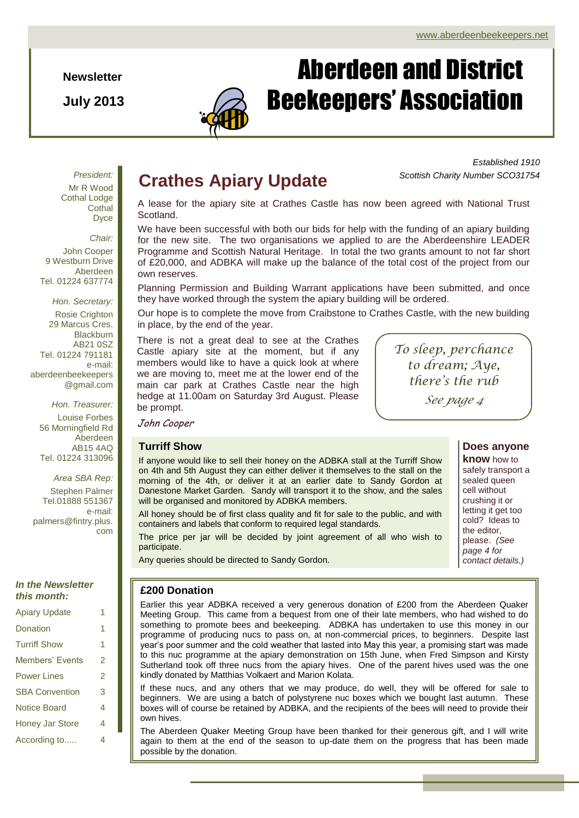**Newsletter**

**July 2013**



# Aberdeen and District Beekeepers' Association

*President:* Mr R Wood Cothal Lodge **Cothal** Dyce

*Chair:* John Cooper 9 Westburn Drive Aberdeen Tel. 01224 637774

*Hon. Secretary:* Rosie Crighton 29 Marcus Cres. **Blackburn** AB21 0SZ Tel. 01224 791181 e-mail: aberdeenbeekeepers @gmail.com

*Hon. Treasurer:* Louise Forbes 56 Morningfield Rd Aberdeen AB15 4AQ Tel. 01224 313096

*Area SBA Rep:* Stephen Palmer Tel.01888 551367 e-mail: palmers@fintry.plus.

com

## *In the Newsletter this month:*

| <b>Apiary Update</b>   | 1 |
|------------------------|---|
| Donation               | 1 |
| <b>Turriff Show</b>    | 1 |
| Members' Events        | 2 |
| <b>Power Lines</b>     | 2 |
| <b>SBA Convention</b>  | 3 |
| Notice Board           | 4 |
| <b>Honey Jar Store</b> | 4 |
| According to           | 4 |

## **Crathes Apiary Update**

*Established 1910 Scottish Charity Number SCO31754*

A lease for the apiary site at Crathes Castle has now been agreed with National Trust Scotland.

We have been successful with both our bids for help with the funding of an apiary building for the new site. The two organisations we applied to are the Aberdeenshire LEADER Programme and Scottish Natural Heritage. In total the two grants amount to not far short of £20,000, and ADBKA will make up the balance of the total cost of the project from our own reserves.

Planning Permission and Building Warrant applications have been submitted, and once they have worked through the system the apiary building will be ordered.

Our hope is to complete the move from Craibstone to Crathes Castle, with the new building in place, by the end of the year.

There is not a great deal to see at the Crathes Castle apiary site at the moment, but if any members would like to have a quick look at where we are moving to, meet me at the lower end of the main car park at Crathes Castle near the high hedge at 11.00am on Saturday 3rd August. Please be prompt.

*To sleep, perchance to dream; Aye, there's the rub*

*See page 4*

cell without

crushing it or letting it get too cold? Ideas to the editor, please. *(See page 4 for contact details.)*

**Does anyone know** how to safely transport a sealed queen

John Cooper

## **Turriff Show**

If anyone would like to sell their honey on the ADBKA stall at the Turriff Show on 4th and 5th August they can either deliver it themselves to the stall on the morning of the 4th, or deliver it at an earlier date to Sandy Gordon at Danestone Market Garden. Sandy will transport it to the show, and the sales will be organised and monitored by ADBKA members.

All honey should be of first class quality and fit for sale to the public, and with containers and labels that conform to required legal standards.

The price per jar will be decided by joint agreement of all who wish to participate.

Any queries should be directed to Sandy Gordon.

## **£200 Donation**

Earlier this year ADBKA received a very generous donation of £200 from the Aberdeen Quaker Meeting Group. This came from a bequest from one of their late members, who had wished to do something to promote bees and beekeeping. ADBKA has undertaken to use this money in our programme of producing nucs to pass on, at non-commercial prices, to beginners. Despite last year's poor summer and the cold weather that lasted into May this year, a promising start was made to this nuc programme at the apiary demonstration on 15th June, when Fred Simpson and Kirsty Sutherland took off three nucs from the apiary hives. One of the parent hives used was the one kindly donated by Matthias Volkaert and Marion Kolata.

If these nucs, and any others that we may produce, do well, they will be offered for sale to beginners. We are using a batch of polystyrene nuc boxes which we bought last autumn. These boxes will of course be retained by ADBKA, and the recipients of the bees will need to provide their own hives.

The Aberdeen Quaker Meeting Group have been thanked for their generous gift, and I will write again to them at the end of the season to up-date them on the progress that has been made possible by the donation.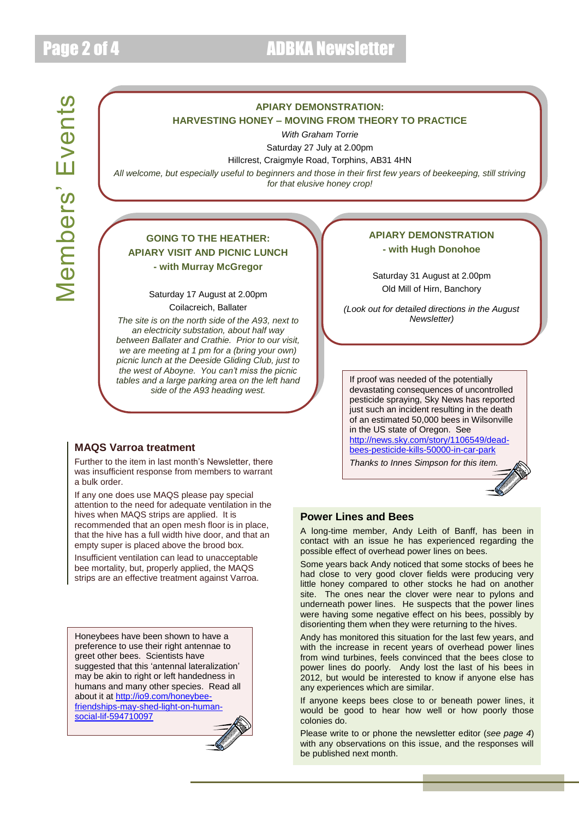## **APIARY DEMONSTRATION:**

#### **HARVESTING HONEY – MOVING FROM THEORY TO PRACTICE**

*With Graham Torrie*

Saturday 27 July at 2.00pm

#### Hillcrest, Craigmyle Road, Torphins, AB31 4HN

*All welcome, but especially useful to beginners and those in their first few years of beekeeping, still striving for that elusive honey crop!*

## **GOING TO THE HEATHER: APIARY VISIT AND PICNIC LUNCH - with Murray McGregor**

### Saturday 17 August at 2.00pm Coilacreich, Ballater

*The site is on the north side of the A93, next to an electricity substation, about half way between Ballater and Crathie. Prior to our visit, we are meeting at 1 pm for a (bring your own) picnic lunch at the Deeside Gliding Club, just to the west of Aboyne. You can't miss the picnic tables and a large parking area on the left hand side of the A93 heading west.*

## **MAQS Varroa treatment**

Further to the item in last month's Newsletter, there was insufficient response from members to warrant a bulk order.

If any one does use MAQS please pay special attention to the need for adequate ventilation in the hives when MAQS strips are applied. It is recommended that an open mesh floor is in place, that the hive has a full width hive door, and that an empty super is placed above the brood box.

Insufficient ventilation can lead to unacceptable bee mortality, but, properly applied, the MAQS strips are an effective treatment against Varroa.

Honeybees have been shown to have a preference to use their right antennae to greet other bees. Scientists have suggested that this 'antennal lateralization' may be akin to right or left handedness in humans and many other species. Read all about it at [http://io9.com/honeybee](http://io9.com/honeybee-friendships-may-shed-light-on-human-social-lif-594710097)[friendships-may-shed-light-on-human](http://io9.com/honeybee-friendships-may-shed-light-on-human-social-lif-594710097)[social-lif-594710097](http://io9.com/honeybee-friendships-may-shed-light-on-human-social-lif-594710097)



## **APIARY DEMONSTRATION - with Hugh Donohoe**

Saturday 31 August at 2.00pm Old Mill of Hirn, Banchory

*(Look out for detailed directions in the August Newsletter)*

If proof was needed of the potentially devastating consequences of uncontrolled pesticide spraying, Sky News has reported just such an incident resulting in the death of an estimated 50,000 bees in Wilsonville in the US state of Oregon. See [http://news.sky.com/story/1106549/dead](http://news.sky.com/story/1106549/dead-bees-pesticide-kills-50000-in-car-park)[bees-pesticide-kills-50000-in-car-park](http://news.sky.com/story/1106549/dead-bees-pesticide-kills-50000-in-car-park)

*Thanks to Innes Simpson for this item.*



## **Power Lines and Bees**

A long-time member, Andy Leith of Banff, has been in contact with an issue he has experienced regarding the possible effect of overhead power lines on bees.

Some years back Andy noticed that some stocks of bees he had close to very good clover fields were producing very little honey compared to other stocks he had on another site. The ones near the clover were near to pylons and underneath power lines. He suspects that the power lines were having some negative effect on his bees, possibly by disorienting them when they were returning to the hives.

Andy has monitored this situation for the last few years, and with the increase in recent years of overhead power lines from wind turbines, feels convinced that the bees close to power lines do poorly. Andy lost the last of his bees in 2012, but would be interested to know if anyone else has any experiences which are similar.

If anyone keeps bees close to or beneath power lines, it would be good to hear how well or how poorly those colonies do.

Please write to or phone the newsletter editor (*see page 4*) with any observations on this issue, and the responses will be published next month.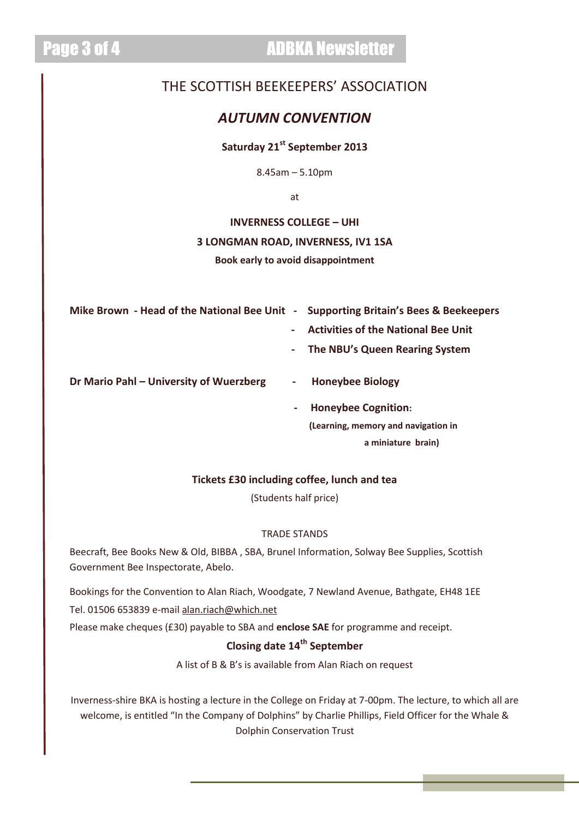# Page 3 of 4 ADBKA Newsletter

## THE SCOTTISH BEEKEEPERS' ASSOCIATION

## *AUTUMN CONVENTION*

## **Saturday 21st September 2013**

8.45am – 5.10pm

at

# **INVERNESS COLLEGE – UHI 3 LONGMAN ROAD, INVERNESS, IV1 1SA**

**Book early to avoid disappointment**

**Mike Brown - Head of the National Bee Unit - Supporting Britain's Bees & Beekeepers**

- 
- **Activities of the National Bee Unit**
- **The NBU's Queen Rearing System**

**Dr Mario Pahl – University of Wuerzberg - Honeybee Biology**

- - **Honeybee Cognition: (Learning, memory and navigation in a miniature brain)**

## **Tickets £30 including coffee, lunch and tea**

(Students half price)

## TRADE STANDS

Beecraft, Bee Books New & Old, BIBBA , SBA, Brunel Information, Solway Bee Supplies, Scottish Government Bee Inspectorate, Abelo.

Bookings for the Convention to Alan Riach, Woodgate, 7 Newland Avenue, Bathgate, EH48 1EE

Tel. 01506 653839 e-mail [alan.riach@which.net](mailto:alan.riach@which.net)

Please make cheques (£30) payable to SBA and **enclose SAE** for programme and receipt.

## **Closing date 14th September**

A list of B & B's is available from Alan Riach on request

Inverness-shire BKA is hosting a lecture in the College on Friday at 7-00pm. The lecture, to which all are welcome, is entitled "In the Company of Dolphins" by Charlie Phillips, Field Officer for the Whale & Dolphin Conservation Trust